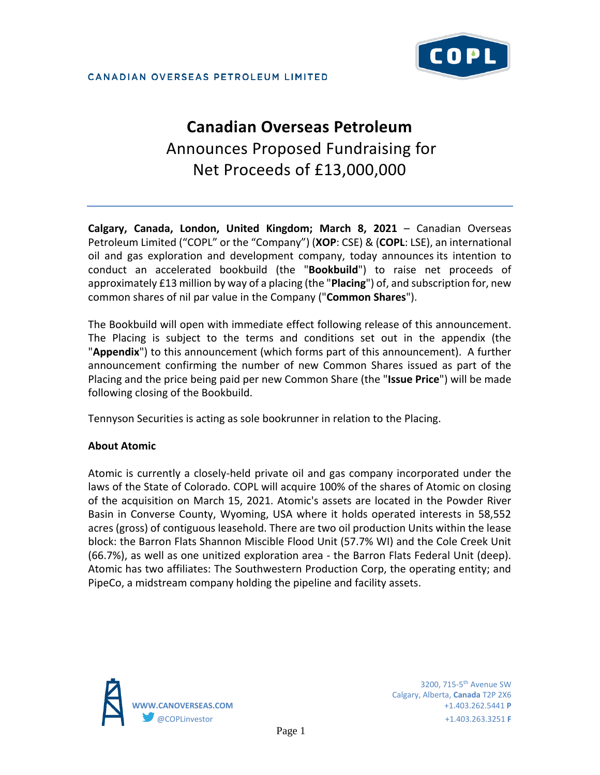# **Canadian Overseas Petroleum**  Announces Proposed Fundraising for Net Proceeds of £13,000,000

**Calgary, Canada, London, United Kingdom; March 8, 2021** – Canadian Overseas Petroleum Limited ("COPL" or the "Company") (**XOP**: CSE) & (**COPL**: LSE), an international oil and gas exploration and development company, today announces its intention to conduct an accelerated bookbuild (the "**Bookbuild**") to raise net proceeds of approximately £13 million by way of a placing (the "**Placing**") of, and subscription for, new common shares of nil par value in the Company ("**Common Shares**").

The Bookbuild will open with immediate effect following release of this announcement. The Placing is subject to the terms and conditions set out in the appendix (the "**Appendix**") to this announcement (which forms part of this announcement). A further announcement confirming the number of new Common Shares issued as part of the Placing and the price being paid per new Common Share (the "**Issue Price**") will be made following closing of the Bookbuild.

Tennyson Securities is acting as sole bookrunner in relation to the Placing.

# **About Atomic**

Atomic is currently a closely-held private oil and gas company incorporated under the laws of the State of Colorado. COPL will acquire 100% of the shares of Atomic on closing of the acquisition on March 15, 2021. Atomic's assets are located in the Powder River Basin in Converse County, Wyoming, USA where it holds operated interests in 58,552 acres (gross) of contiguous leasehold. There are two oil production Units within the lease block: the Barron Flats Shannon Miscible Flood Unit (57.7% WI) and the Cole Creek Unit (66.7%), as well as one unitized exploration area - the Barron Flats Federal Unit (deep). Atomic has two affiliates: The Southwestern Production Corp, the operating entity; and PipeCo, a midstream company holding the pipeline and facility assets.



Calgary, Alberta, **Canada** T2P 2X6 **WWW.CANOVERSEAS.COM** +1.403.262.5441 **P** @COPLinvestor +1.403.263.3251 **F**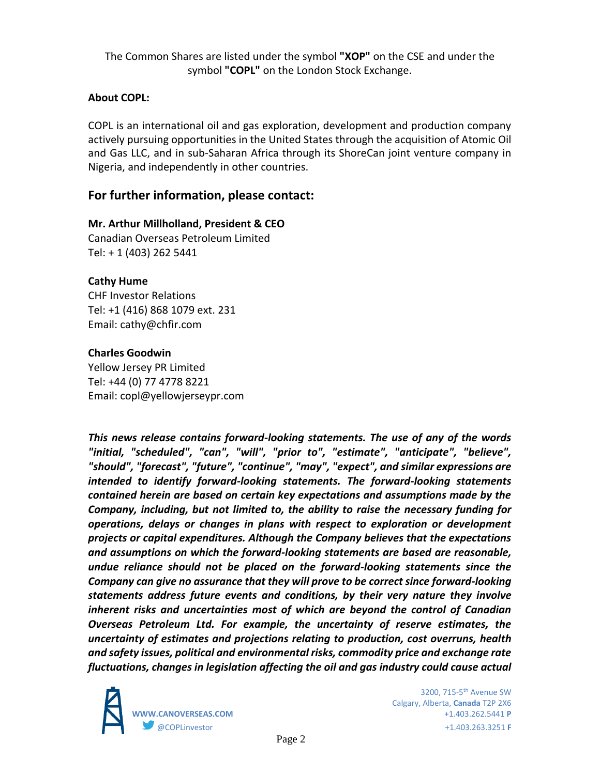The Common Shares are listed under the symbol **"XOP"** on the CSE and under the symbol **"COPL"** on the London Stock Exchange.

## **About COPL:**

COPL is an international oil and gas exploration, development and production company actively pursuing opportunities in the United States through the acquisition of Atomic Oil and Gas LLC, and in sub-Saharan Africa through its ShoreCan joint venture company in Nigeria, and independently in other countries.

## **For further information, please contact:**

## **Mr. Arthur Millholland, President & CEO**

Canadian Overseas Petroleum Limited Tel: + 1 (403) 262 5441

#### **Cathy Hume**

CHF Investor Relations Tel: +1 (416) 868 1079 ext. 231 Email: cathy@chfir.com

#### **Charles Goodwin**

Yellow Jersey PR Limited Tel: +44 (0) 77 4778 8221 Email: copl@yellowjerseypr.com

*This news release contains forward-looking statements. The use of any of the words "initial, "scheduled", "can", "will", "prior to", "estimate", "anticipate", "believe", "should", "forecast", "future", "continue", "may", "expect", and similar expressions are intended to identify forward-looking statements. The forward-looking statements contained herein are based on certain key expectations and assumptions made by the Company, including, but not limited to, the ability to raise the necessary funding for operations, delays or changes in plans with respect to exploration or development projects or capital expenditures. Although the Company believes that the expectations and assumptions on which the forward-looking statements are based are reasonable, undue reliance should not be placed on the forward-looking statements since the Company can give no assurance that they will prove to be correct since forward-looking statements address future events and conditions, by their very nature they involve inherent risks and uncertainties most of which are beyond the control of Canadian Overseas Petroleum Ltd. For example, the uncertainty of reserve estimates, the uncertainty of estimates and projections relating to production, cost overruns, health and safety issues, political and environmental risks, commodity price and exchange rate fluctuations, changes in legislation affecting the oil and gas industry could cause actual* 



Calgary, Alberta, **Canada** T2P 2X6 **WWW.CANOVERSEAS.COM** +1.403.262.5441 **P** @COPLinvestor +1.403.263.3251 **F**